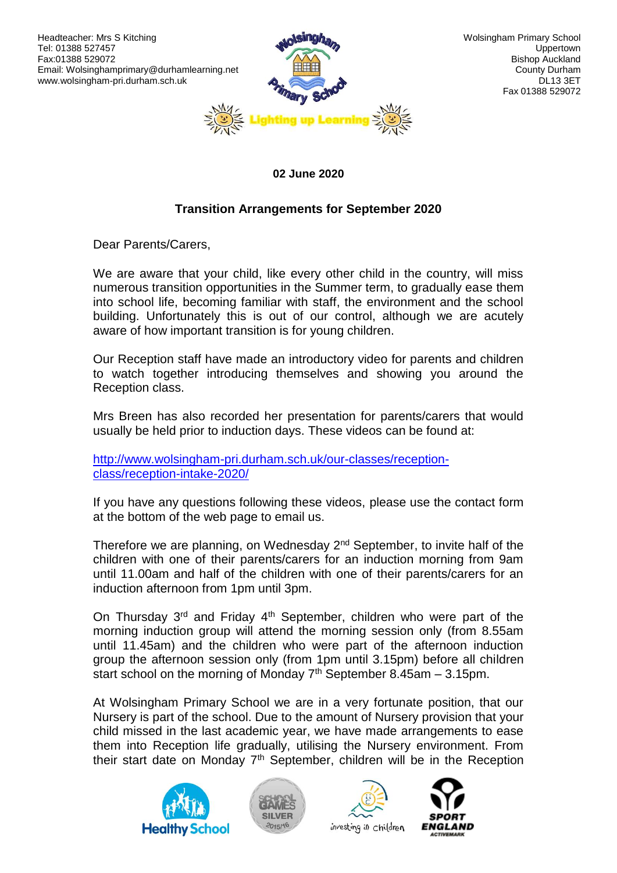

Wolsingham Primary School Uppertown Bishop Auckland County Durham DL13 3ET Fax 01388 529072

**02 June 2020**

## **Transition Arrangements for September 2020**

Dear Parents/Carers,

We are aware that your child, like every other child in the country, will miss numerous transition opportunities in the Summer term, to gradually ease them into school life, becoming familiar with staff, the environment and the school building. Unfortunately this is out of our control, although we are acutely aware of how important transition is for young children.

Our Reception staff have made an introductory video for parents and children to watch together introducing themselves and showing you around the Reception class.

Mrs Breen has also recorded her presentation for parents/carers that would usually be held prior to induction days. These videos can be found at:

[http://www.wolsingham-pri.durham.sch.uk/our-classes/reception](http://www.wolsingham-pri.durham.sch.uk/our-classes/reception-class/reception-intake-2020/)[class/reception-intake-2020/](http://www.wolsingham-pri.durham.sch.uk/our-classes/reception-class/reception-intake-2020/)

If you have any questions following these videos, please use the contact form at the bottom of the web page to email us.

Therefore we are planning, on Wednesday 2<sup>nd</sup> September, to invite half of the children with one of their parents/carers for an induction morning from 9am until 11.00am and half of the children with one of their parents/carers for an induction afternoon from 1pm until 3pm.

On Thursday  $3^{rd}$  and Friday  $4^{th}$  September, children who were part of the morning induction group will attend the morning session only (from 8.55am until 11.45am) and the children who were part of the afternoon induction group the afternoon session only (from 1pm until 3.15pm) before all children start school on the morning of Monday  $7<sup>th</sup>$  September 8.45am – 3.15pm.

At Wolsingham Primary School we are in a very fortunate position, that our Nursery is part of the school. Due to the amount of Nursery provision that your child missed in the last academic year, we have made arrangements to ease them into Reception life gradually, utilising the Nursery environment. From their start date on Monday  $7<sup>th</sup>$  September, children will be in the Reception